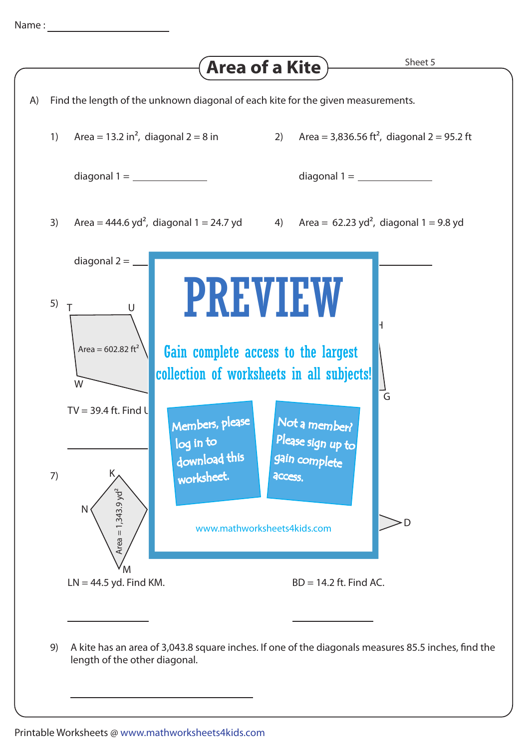